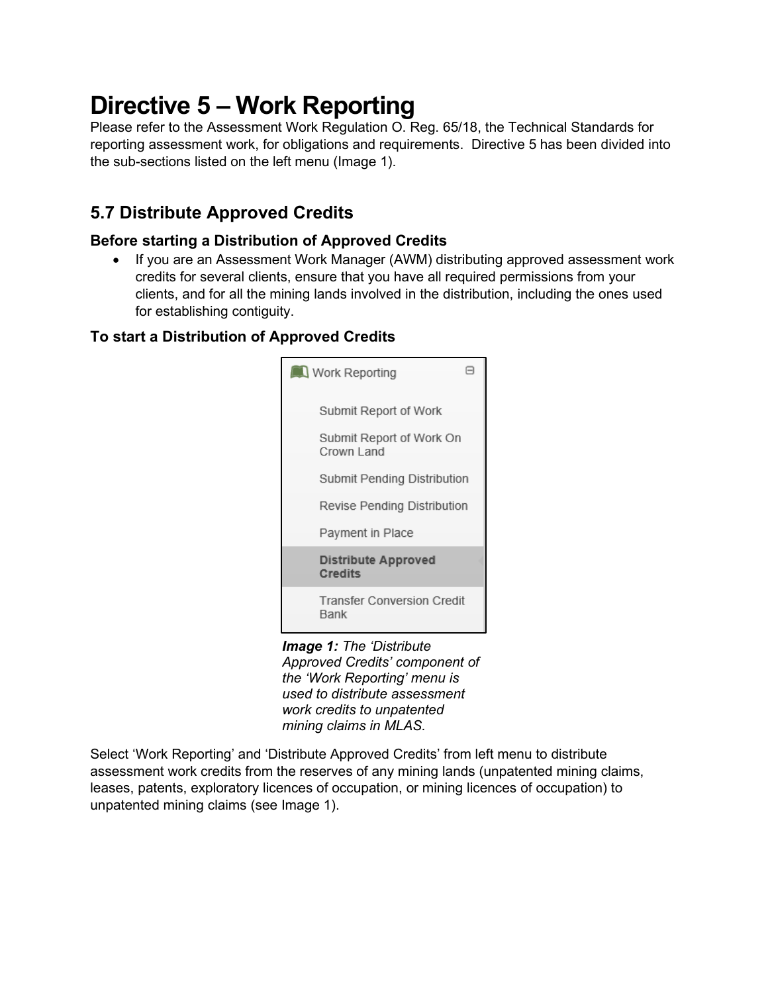# **Directive 5 – Work Reporting**

Please refer to the Assessment Work Regulation O. Reg. 65/18, the Technical Standards for reporting assessment work, for obligations and requirements. Directive 5 has been divided into the sub-sections listed on the left menu (Image 1).

## **5.7 Distribute Approved Credits**

## **Before starting a Distribution of Approved Credits**

• If you are an Assessment Work Manager (AWM) distributing approved assessment work credits for several clients, ensure that you have all required permissions from your clients, and for all the mining lands involved in the distribution, including the ones used for establishing contiguity.

## **To start a Distribution of Approved Credits**



*Image 1: The 'Distribute Approved Credits' component of the 'Work Reporting' menu is used to distribute assessment work credits to unpatented mining claims in MLAS.*

Select 'Work Reporting' and 'Distribute Approved Credits' from left menu to distribute assessment work credits from the reserves of any mining lands (unpatented mining claims, leases, patents, exploratory licences of occupation, or mining licences of occupation) to unpatented mining claims (see Image 1).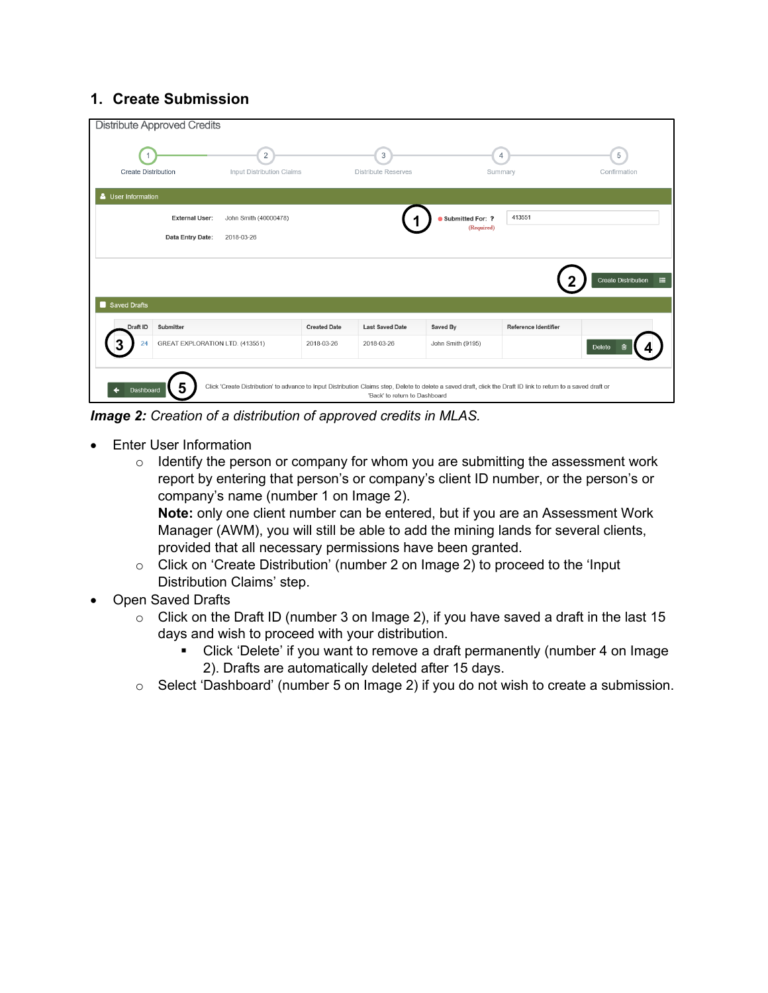## **1. Create Submission**

| <b>Distribute Approved Credits</b>    |                                                                                                                                                                 |                     |                                 |                                |                           |                                        |
|---------------------------------------|-----------------------------------------------------------------------------------------------------------------------------------------------------------------|---------------------|---------------------------------|--------------------------------|---------------------------|----------------------------------------|
| <b>Create Distribution</b>            | 2<br><b>Input Distribution Claims</b>                                                                                                                           |                     | 3<br><b>Distribute Reserves</b> |                                | $\overline{4}$<br>Summary | 5<br>Confirmation                      |
| User Information                      |                                                                                                                                                                 |                     |                                 |                                |                           |                                        |
| <b>External User:</b>                 | John Smith (40000478)                                                                                                                                           |                     |                                 | Submitted For: ?<br>(Required) | 413551                    |                                        |
| Data Entry Date:                      | 2018-03-26                                                                                                                                                      |                     |                                 |                                |                           |                                        |
|                                       |                                                                                                                                                                 |                     |                                 |                                |                           | <b>Create Distribution</b><br>$\equiv$ |
| Saved Drafts                          |                                                                                                                                                                 |                     |                                 |                                |                           |                                        |
| Draft ID<br>Submitter                 |                                                                                                                                                                 | <b>Created Date</b> | <b>Last Saved Date</b>          | Saved By                       | Reference Identifier      |                                        |
| GREAT EXPLORATION LTD. (413551)<br>24 |                                                                                                                                                                 | 2018-03-26          | 2018-03-26                      | John Smith (9195)              |                           | Delete<br>圙                            |
| Dashboard                             | Click 'Create Distribution' to advance to Input Distribution Claims step, Delete to delete a saved draft, click the Draft ID link to return to a saved draft or |                     | 'Back' to return to Dashboard   |                                |                           |                                        |

*Image 2: Creation of a distribution of approved credits in MLAS.* 

- Enter User Information
	- $\circ$  Identify the person or company for whom you are submitting the assessment work report by entering that person's or company's client ID number, or the person's or company's name (number 1 on Image 2). **Note:** only one client number can be entered, but if you are an Assessment Work Manager (AWM), you will still be able to add the mining lands for several clients, provided that all necessary permissions have been granted.
	- o Click on 'Create Distribution' (number 2 on Image 2) to proceed to the 'Input Distribution Claims' step.
- Open Saved Drafts
	- $\circ$  Click on the Draft ID (number 3 on Image 2), if you have saved a draft in the last 15 days and wish to proceed with your distribution.
		- Click 'Delete' if you want to remove a draft permanently (number 4 on Image 2). Drafts are automatically deleted after 15 days.
	- o Select 'Dashboard' (number 5 on Image 2) if you do not wish to create a submission.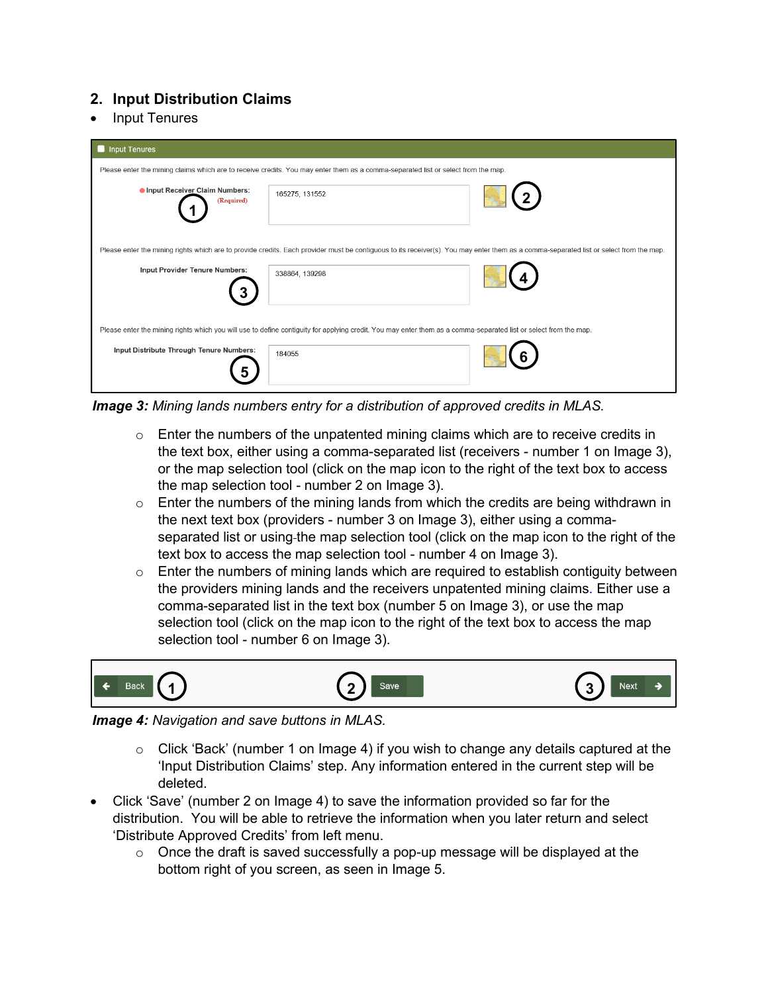## **2. Input Distribution Claims**

• Input Tenures

| Input Tenures                                                                                                                     |                |                                                                                                                                                                                        |  |
|-----------------------------------------------------------------------------------------------------------------------------------|----------------|----------------------------------------------------------------------------------------------------------------------------------------------------------------------------------------|--|
| Please enter the mining claims which are to receive credits. You may enter them as a comma-separated list or select from the map. |                |                                                                                                                                                                                        |  |
| Input Receiver Claim Numbers:<br>(Required)                                                                                       | 165275, 131552 |                                                                                                                                                                                        |  |
|                                                                                                                                   |                | Please enter the mining rights which are to provide credits. Each provider must be contiguous to its receiver(s). You may enter them as a comma-separated list or select from the map. |  |
| Input Provider Tenure Numbers:                                                                                                    | 338864, 139298 |                                                                                                                                                                                        |  |
|                                                                                                                                   |                | Please enter the mining rights which you will use to define contiguity for applying credit. You may enter them as a comma-separated list or select from the map.                       |  |
| Input Distribute Through Tenure Numbers:                                                                                          | 184055         |                                                                                                                                                                                        |  |

*Image 3: Mining lands numbers entry for a distribution of approved credits in MLAS.*

- $\circ$  Enter the numbers of the unpatented mining claims which are to receive credits in the text box, either using a comma-separated list (receivers - number 1 on Image 3), or the map selection tool (click on the map icon to the right of the text box to access the map selection tool - number 2 on Image 3).
- $\circ$  Enter the numbers of the mining lands from which the credits are being withdrawn in the next text box (providers - number 3 on Image 3), either using a commaseparated list or using-the map selection tool (click on the map icon to the right of the text box to access the map selection tool - number 4 on Image 3).
- $\circ$  Enter the numbers of mining lands which are required to establish contiguity between the providers mining lands and the receivers unpatented mining claims. Either use a comma-separated list in the text box (number 5 on Image 3), or use the map selection tool (click on the map icon to the right of the text box to access the map selection tool - number 6 on Image 3).



#### *Image 4: Navigation and save buttons in MLAS.*

- o Click 'Back' (number 1 on Image 4) if you wish to change any details captured at the 'Input Distribution Claims' step. Any information entered in the current step will be deleted.
- Click 'Save' (number 2 on Image 4) to save the information provided so far for the distribution. You will be able to retrieve the information when you later return and select 'Distribute Approved Credits' from left menu.
	- $\circ$  Once the draft is saved successfully a pop-up message will be displayed at the bottom right of you screen, as seen in Image 5.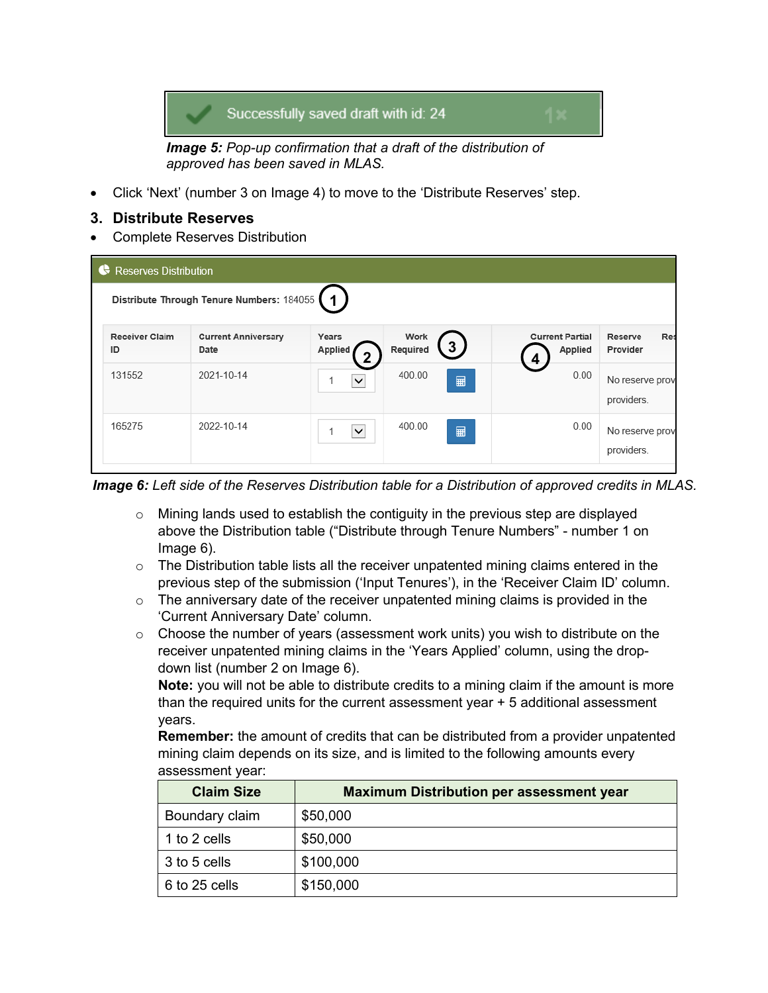

*Image 5: Pop-up confirmation that a draft of the distribution of approved has been saved in MLAS.*

• Click 'Next' (number 3 on Image 4) to move to the 'Distribute Reserves' step.

#### **3. Distribute Reserves**

• Complete Reserves Distribution

| <b>Reserves Distribution</b><br><b>IG</b> |                                           |                       |                                    |                                   |                                   |
|-------------------------------------------|-------------------------------------------|-----------------------|------------------------------------|-----------------------------------|-----------------------------------|
|                                           | Distribute Through Tenure Numbers: 184055 | $\blacktriangleleft$  |                                    |                                   |                                   |
| <b>Receiver Claim</b><br>ID               | <b>Current Anniversary</b><br>Date        | Years<br>Applied<br>◠ | Work<br>3 <sub>1</sub><br>Required | <b>Current Partial</b><br>Applied | <b>Res</b><br>Reserve<br>Provider |
| 131552                                    | 2021-10-14                                | $\checkmark$          | 400.00<br>⊞                        | 0.00                              | No reserve prov<br>providers.     |
| 165275                                    | 2022-10-14                                | $\checkmark$          | 400.00<br>■                        | 0.00                              | No reserve prov<br>providers.     |

*Image 6: Left side of the Reserves Distribution table for a Distribution of approved credits in MLAS.* 

- o Mining lands used to establish the contiguity in the previous step are displayed above the Distribution table ("Distribute through Tenure Numbers" - number 1 on Image 6).
- $\circ$  The Distribution table lists all the receiver unpatented mining claims entered in the previous step of the submission ('Input Tenures'), in the 'Receiver Claim ID' column.
- $\circ$  The anniversary date of the receiver unpatented mining claims is provided in the 'Current Anniversary Date' column.
- $\circ$  Choose the number of years (assessment work units) you wish to distribute on the receiver unpatented mining claims in the 'Years Applied' column, using the dropdown list (number 2 on Image 6).

**Note:** you will not be able to distribute credits to a mining claim if the amount is more than the required units for the current assessment year + 5 additional assessment years.

**Remember:** the amount of credits that can be distributed from a provider unpatented mining claim depends on its size, and is limited to the following amounts every assessment year:

| <b>Claim Size</b> | <b>Maximum Distribution per assessment year</b> |
|-------------------|-------------------------------------------------|
| Boundary claim    | \$50,000                                        |
| 1 to 2 cells      | \$50,000                                        |
| 3 to 5 cells      | \$100,000                                       |
| 6 to 25 cells     | \$150,000                                       |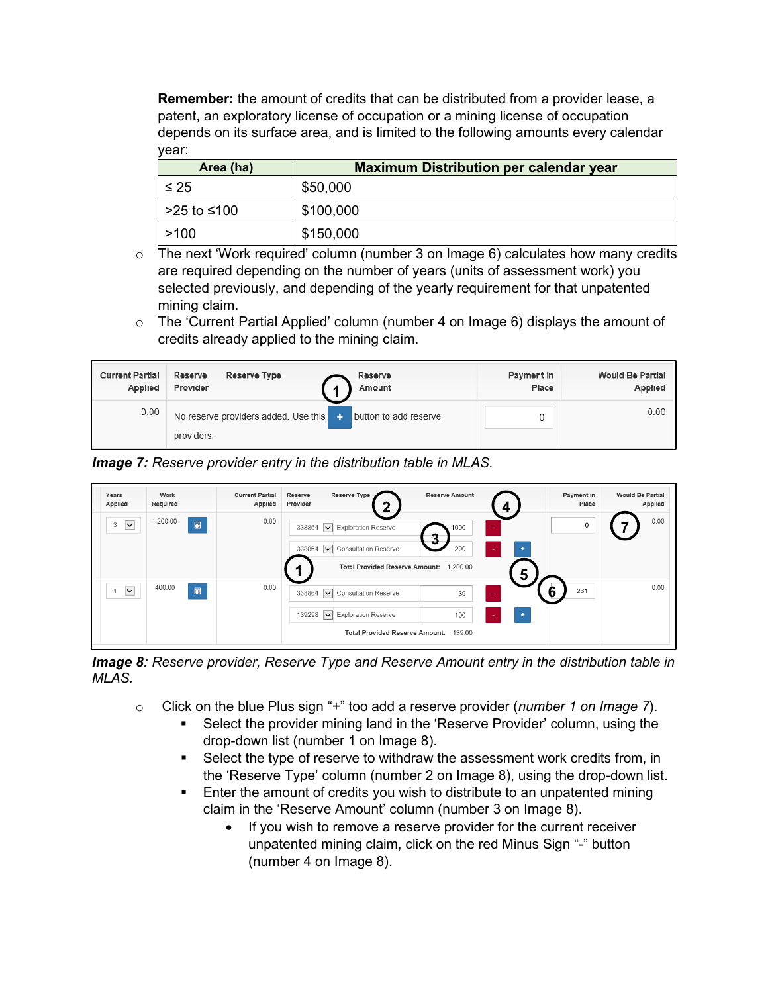**Remember:** the amount of credits that can be distributed from a provider lease, a patent, an exploratory license of occupation or a mining license of occupation depends on its surface area, and is limited to the following amounts every calendar year:

| Area (ha)   | <b>Maximum Distribution per calendar year</b> |
|-------------|-----------------------------------------------|
| $\leq 25$   | \$50,000                                      |
| >25 to ≤100 | \$100,000                                     |
| >100        | \$150,000                                     |

- $\circ$  The next 'Work required' column (number 3 on Image 6) calculates how many credits are required depending on the number of years (units of assessment work) you selected previously, and depending of the yearly requirement for that unpatented mining claim.
- $\circ$  The 'Current Partial Applied' column (number 4 on Image 6) displays the amount of credits already applied to the mining claim.

| <b>Current Partial</b><br>Applied | Reserve Type<br>Reserve<br>Reserve<br>Provider<br>Amount | Payment in<br>Place | <b>Would Be Partial</b><br>Applied |
|-----------------------------------|----------------------------------------------------------|---------------------|------------------------------------|
| 0.00                              | providers.                                               |                     | 0.00                               |

*Image 7: Reserve provider entry in the distribution table in MLAS.*

| Years<br>Applied              | Work<br>Required                         | <b>Current Partial</b><br>Applied | Reserve Type<br>Reserve<br>Provider<br>ົ                                                                 | <b>Reserve Amount</b> | Payment in<br>Place | <b>Would Be Partial</b><br>Applied |
|-------------------------------|------------------------------------------|-----------------------------------|----------------------------------------------------------------------------------------------------------|-----------------------|---------------------|------------------------------------|
| 3<br>$\vert \mathbf{v} \vert$ | 1,200.00<br>$\qquad \qquad \blacksquare$ | 0.00                              | <b>Exploration Reserve</b><br>338864<br>$\overline{\mathbf{v}}$                                          | 1000<br>າ<br>ν        | 0                   | 0.00                               |
|                               |                                          |                                   | <b>Consultation Reserve</b><br>338864<br>$\checkmark$<br><b>Total Provided Reserve Amount:</b>           | 200<br>1,200.00       | ٠<br>5              |                                    |
| $\vert \mathbf{v} \vert$      | 400.00<br>■                              | 0.00                              | 338864<br><b>Consultation Reserve</b><br>$\sim$                                                          | 39                    | 6<br>261<br>÷       | 0.00                               |
|                               |                                          |                                   | 139298<br><b>Exploration Reserve</b><br>$\overline{\mathbf{v}}$<br><b>Total Provided Reserve Amount:</b> | 100<br>139.00         | ٠<br>٠              |                                    |

*Image 8: Reserve provider, Reserve Type and Reserve Amount entry in the distribution table in MLAS.*

- o Click on the blue Plus sign "+" too add a reserve provider (*number 1 on Image 7*).
	- Select the provider mining land in the 'Reserve Provider' column, using the drop-down list (number 1 on Image 8).
	- Select the type of reserve to withdraw the assessment work credits from, in the 'Reserve Type' column (number 2 on Image 8), using the drop-down list.
	- Enter the amount of credits you wish to distribute to an unpatented mining claim in the 'Reserve Amount' column (number 3 on Image 8).
		- If you wish to remove a reserve provider for the current receiver unpatented mining claim, click on the red Minus Sign "-" button (number 4 on Image 8).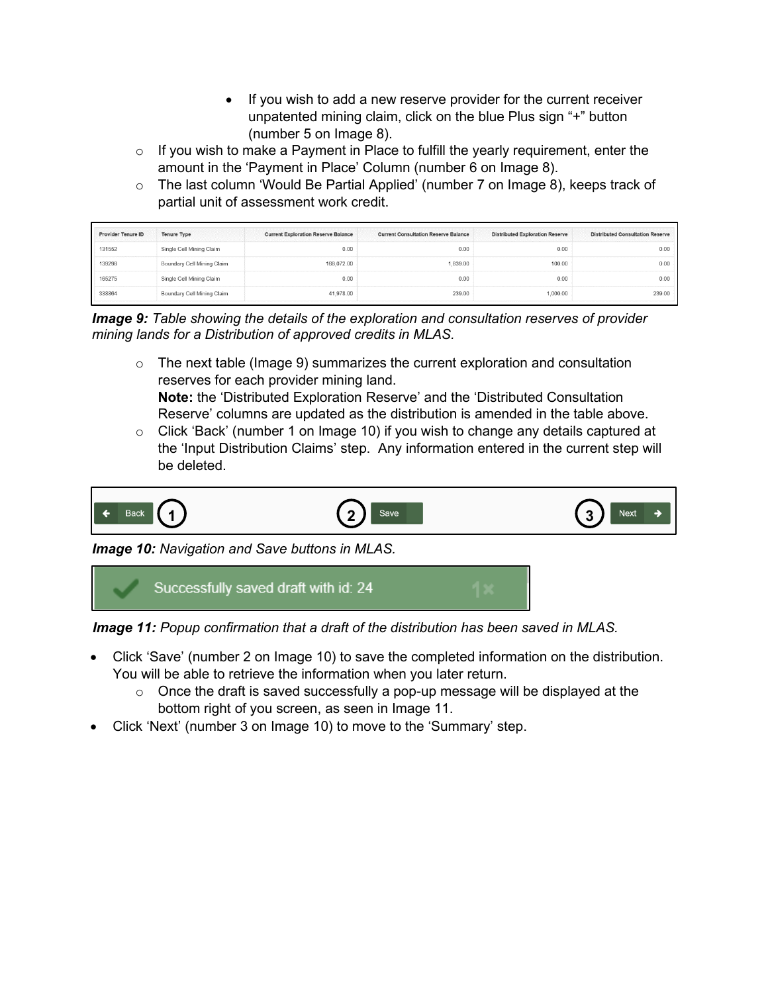- If you wish to add a new reserve provider for the current receiver unpatented mining claim, click on the blue Plus sign "+" button (number 5 on Image 8).
- $\circ$  If you wish to make a Payment in Place to fulfill the yearly requirement, enter the amount in the 'Payment in Place' Column (number 6 on Image 8).
- o The last column 'Would Be Partial Applied' (number 7 on Image 8), keeps track of partial unit of assessment work credit.

| <b>Provider Tenure ID</b> | <b>Tenure Type</b>         | <b>Current Exploration Reserve Balance</b> | <b>Current Consultation Reserve Balance</b> | <b>Distributed Exploration Reserve</b> | <b>Distributed Consultation Reserve</b> |
|---------------------------|----------------------------|--------------------------------------------|---------------------------------------------|----------------------------------------|-----------------------------------------|
| 131552                    | Single Cell Mining Claim   | 0.00                                       | 0.00                                        | 0.00                                   | 0.00                                    |
| 139298                    | Boundary Cell Mining Claim | 168,072.00                                 | 1.839.00                                    | 100.00                                 | 0.00                                    |
| 165275                    | Single Cell Mining Claim   | 0.00                                       | 0.00                                        | 0.00                                   | 0.00                                    |
| 338864                    | Boundary Cell Mining Claim | 41,978.00                                  | 239.00                                      | 1,000.00                               | 239.00                                  |

*Image 9: Table showing the details of the exploration and consultation reserves of provider mining lands for a Distribution of approved credits in MLAS.*

- $\circ$  The next table (Image 9) summarizes the current exploration and consultation reserves for each provider mining land. **Note:** the 'Distributed Exploration Reserve' and the 'Distributed Consultation Reserve' columns are updated as the distribution is amended in the table above.
- $\circ$  Click 'Back' (number 1 on Image 10) if you wish to change any details captured at the 'Input Distribution Claims' step. Any information entered in the current step will be deleted.



*Image 10: Navigation and Save buttons in MLAS.*



*Image 11: Popup confirmation that a draft of the distribution has been saved in MLAS.*

- Click 'Save' (number 2 on Image 10) to save the completed information on the distribution. You will be able to retrieve the information when you later return.
	- $\circ$  Once the draft is saved successfully a pop-up message will be displayed at the bottom right of you screen, as seen in Image 11.
- Click 'Next' (number 3 on Image 10) to move to the 'Summary' step.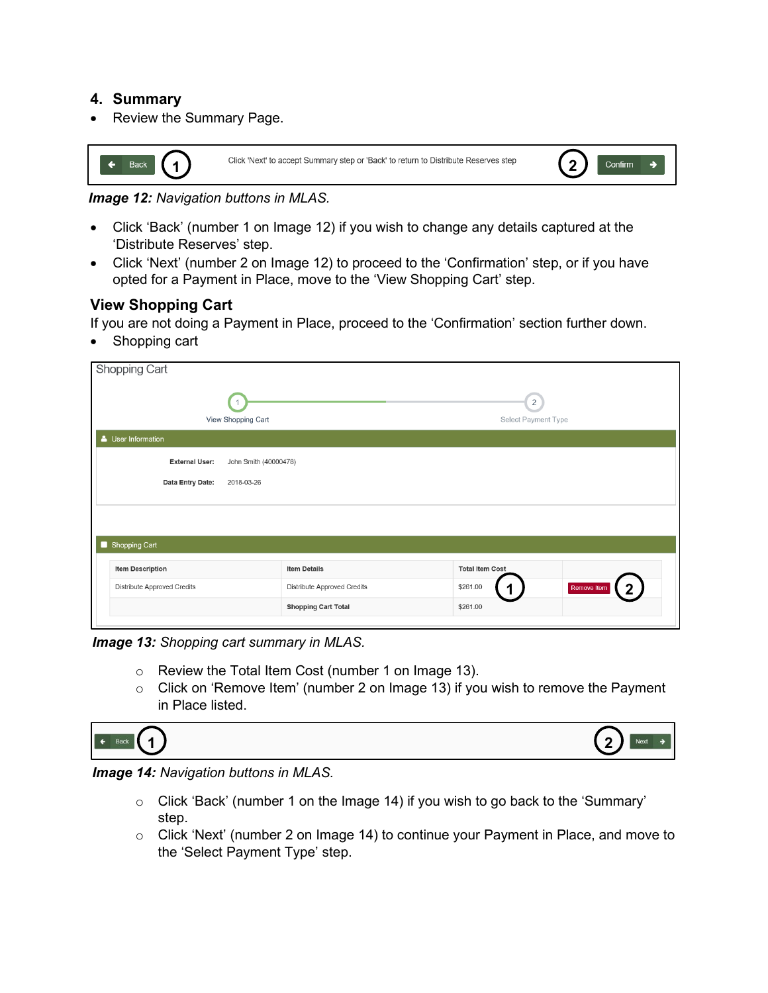#### **4. Summary**

• Review the Summary Page.



*Image 12: Navigation buttons in MLAS.*

- Click 'Back' (number 1 on Image 12) if you wish to change any details captured at the 'Distribute Reserves' step.
- Click 'Next' (number 2 on Image 12) to proceed to the 'Confirmation' step, or if you have opted for a Payment in Place, move to the 'View Shopping Cart' step.

## **View Shopping Cart**

If you are not doing a Payment in Place, proceed to the 'Confirmation' section further down.

• Shopping cart

| <b>Shopping Cart</b>                           |                             |                                       |                  |
|------------------------------------------------|-----------------------------|---------------------------------------|------------------|
| View Shopping Cart                             |                             | $\overline{2}$<br>Select Payment Type |                  |
| User Information                               |                             |                                       |                  |
| <b>External User:</b><br>John Smith (40000478) |                             |                                       |                  |
| Data Entry Date:<br>2018-03-26                 |                             |                                       |                  |
|                                                |                             |                                       |                  |
| <b>Shopping Cart</b><br>×.                     |                             |                                       |                  |
| <b>Item Description</b>                        | <b>Item Details</b>         | <b>Total Item Cost</b>                |                  |
| Distribute Approved Credits                    | Distribute Approved Credits | \$261.00                              | Remove Item<br>2 |
|                                                | <b>Shopping Cart Total</b>  | \$261.00                              |                  |
|                                                |                             |                                       |                  |

*Image 13: Shopping cart summary in MLAS.* 

- o Review the Total Item Cost (number 1 on Image 13).
- o Click on 'Remove Item' (number 2 on Image 13) if you wish to remove the Payment in Place listed.



*Image 14: Navigation buttons in MLAS.*

- o Click 'Back' (number 1 on the Image 14) if you wish to go back to the 'Summary' step.
- o Click 'Next' (number 2 on Image 14) to continue your Payment in Place, and move to the 'Select Payment Type' step.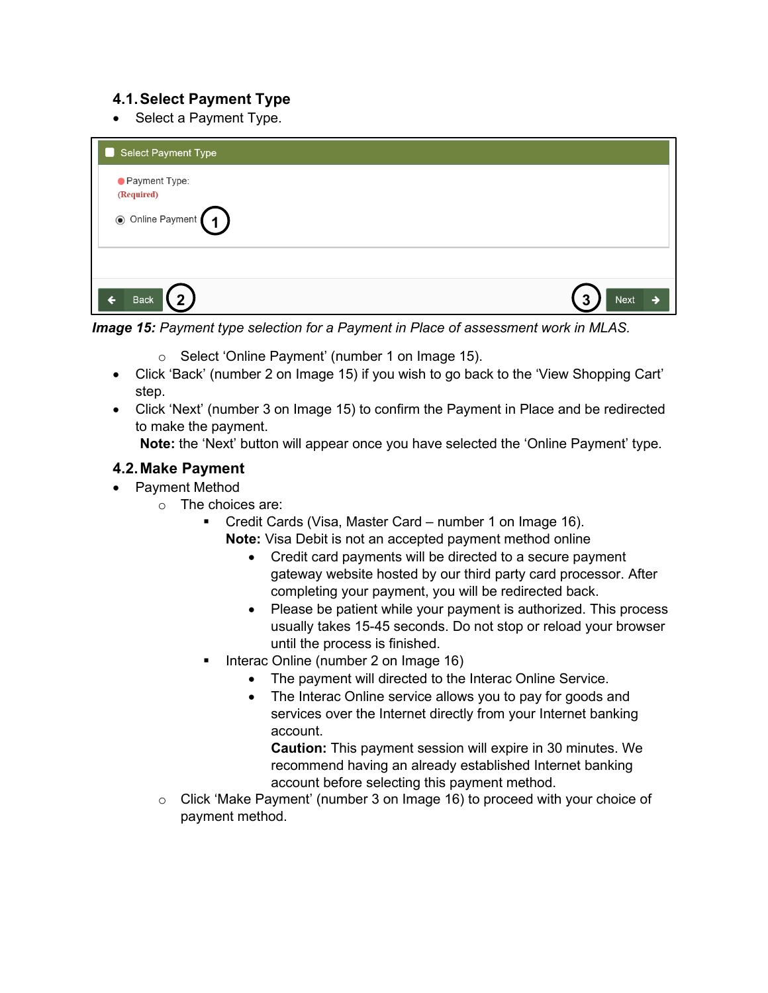## **4.1.Select Payment Type**

• Select a Payment Type.

| Select Payment Type                |                  |
|------------------------------------|------------------|
| ● Payment Type:                    |                  |
| (Required)<br>◉ Online Payment (1) |                  |
| $\mathbf{r}$<br><b>Back</b>        | っ<br><b>Next</b> |
|                                    |                  |

*Image 15: Payment type selection for a Payment in Place of assessment work in MLAS.*

- o Select 'Online Payment' (number 1 on Image 15).
- Click 'Back' (number 2 on Image 15) if you wish to go back to the 'View Shopping Cart' step.
- Click 'Next' (number 3 on Image 15) to confirm the Payment in Place and be redirected to make the payment.

**Note:** the 'Next' button will appear once you have selected the 'Online Payment' type.

## **4.2. Make Payment**

- Payment Method
	- o The choices are:
		- Credit Cards (Visa, Master Card number 1 on Image 16).
			- **Note:** Visa Debit is not an accepted payment method online
				- Credit card payments will be directed to a secure payment gateway website hosted by our third party card processor. After completing your payment, you will be redirected back.
				- Please be patient while your payment is authorized. This process usually takes 15-45 seconds. Do not stop or reload your browser until the process is finished.
		- Interac Online (number 2 on Image 16)
			- The payment will directed to the Interac Online Service.
			- The Interac Online service allows you to pay for goods and services over the Internet directly from your Internet banking account.

**Caution:** This payment session will expire in 30 minutes. We recommend having an already established Internet banking account before selecting this payment method.

o Click 'Make Payment' (number 3 on Image 16) to proceed with your choice of payment method.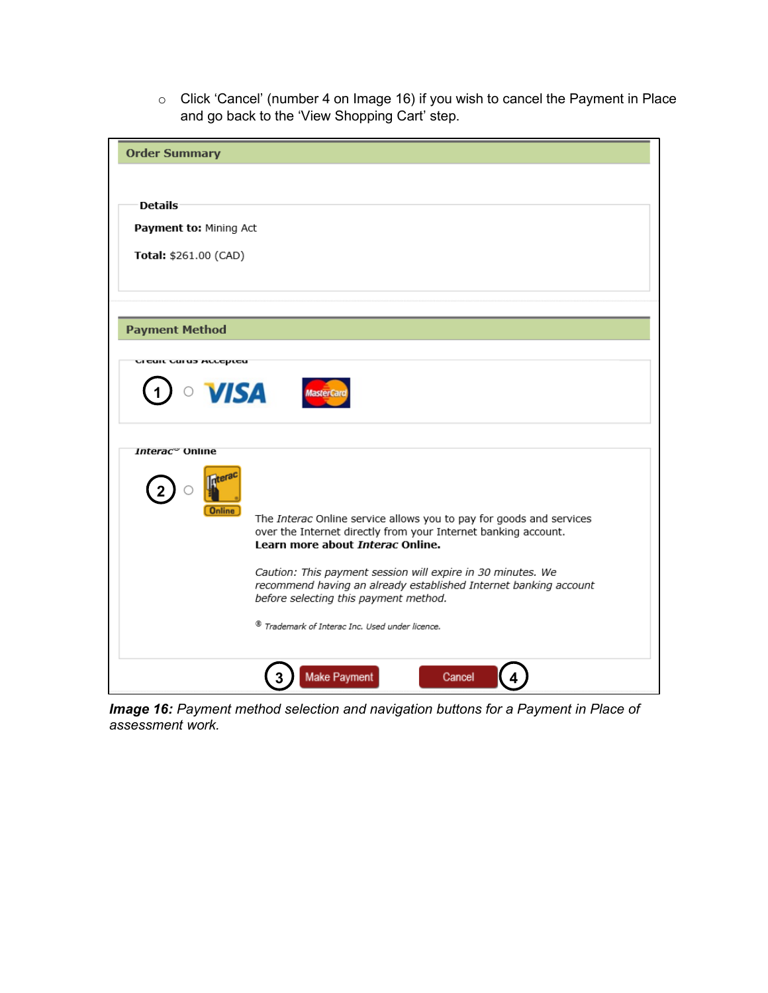o Click 'Cancel' (number 4 on Image 16) if you wish to cancel the Payment in Place and go back to the 'View Shopping Cart' step.

| <b>Order Summary</b>               |                                                                                                                                                                           |
|------------------------------------|---------------------------------------------------------------------------------------------------------------------------------------------------------------------------|
|                                    |                                                                                                                                                                           |
| <b>Details</b>                     |                                                                                                                                                                           |
| Payment to: Mining Act             |                                                                                                                                                                           |
| Total: \$261.00 (CAD)              |                                                                                                                                                                           |
|                                    |                                                                                                                                                                           |
|                                    |                                                                                                                                                                           |
| <b>Payment Method</b>              |                                                                                                                                                                           |
| <b>UI CUIL CUI US ALLEPICU</b>     |                                                                                                                                                                           |
| <b>VISA</b>                        |                                                                                                                                                                           |
| <i>Interac</i> <sup>∞</sup> Online |                                                                                                                                                                           |
| <b>Online</b>                      |                                                                                                                                                                           |
|                                    | The Interac Online service allows you to pay for goods and services<br>over the Internet directly from your Internet banking account.<br>Learn more about Interac Online. |
|                                    | Caution: This payment session will expire in 30 minutes. We<br>recommend having an already established Internet banking account<br>before selecting this payment method.  |
|                                    | ® Trademark of Interac Inc. Used under licence.                                                                                                                           |
|                                    | <b>Make Payment</b><br>Cancel                                                                                                                                             |

*Image 16: Payment method selection and navigation buttons for a Payment in Place of assessment work.*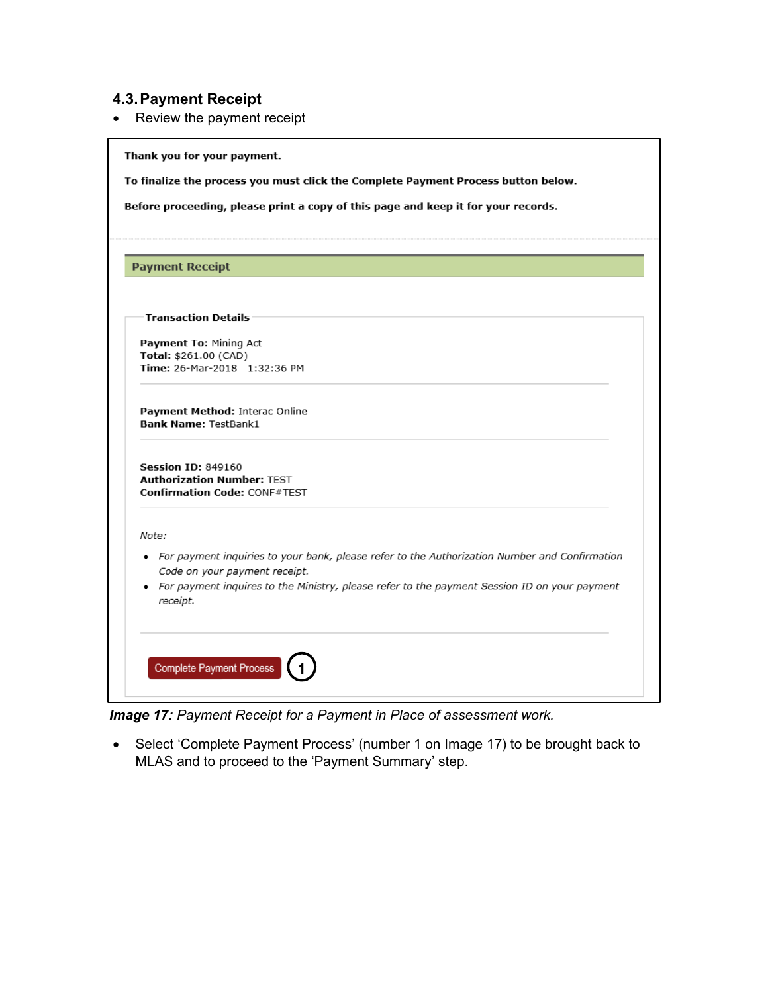## **4.3.Payment Receipt**

• Review the payment receipt

|          | <b>Payment Receipt</b>                                                                                                           |
|----------|----------------------------------------------------------------------------------------------------------------------------------|
|          |                                                                                                                                  |
|          | <b>Transaction Details</b>                                                                                                       |
|          | Payment To: Mining Act                                                                                                           |
|          | Total: \$261.00 (CAD)<br>Time: 26-Mar-2018 1:32:36 PM                                                                            |
|          | Payment Method: Interac Online<br><b>Bank Name: TestBank1</b>                                                                    |
|          | <b>Session ID: 849160</b><br><b>Authorization Number: TEST</b><br><b>Confirmation Code: CONF#TEST</b>                            |
| Note:    |                                                                                                                                  |
|          | • For payment inquiries to your bank, please refer to the Authorization Number and Confirmation<br>Code on your payment receipt. |
| receipt. | • For payment inquires to the Ministry, please refer to the payment Session ID on your payment                                   |

*Image 17: Payment Receipt for a Payment in Place of assessment work.*

• Select 'Complete Payment Process' (number 1 on Image 17) to be brought back to MLAS and to proceed to the 'Payment Summary' step.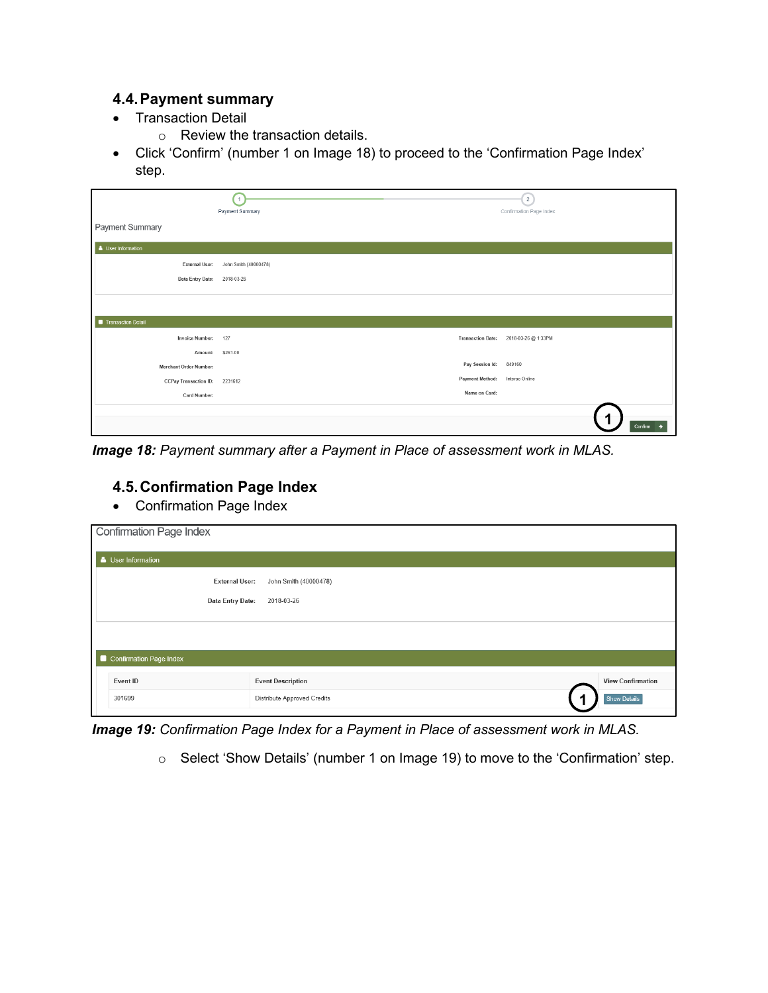## **4.4.Payment summary**

- Transaction Detail
	- o Review the transaction details.
- Click 'Confirm' (number 1 on Image 18) to proceed to the 'Confirmation Page Index' step.

|                               | 1<br>Payment Summary  |                          | $\overline{2}$<br>Confirmation Page Index |
|-------------------------------|-----------------------|--------------------------|-------------------------------------------|
| Payment Summary               |                       |                          |                                           |
| User Information              |                       |                          |                                           |
| <b>External User:</b>         | John Smith (40000478) |                          |                                           |
| Data Entry Date: 2018-03-26   |                       |                          |                                           |
|                               |                       |                          |                                           |
|                               |                       |                          |                                           |
| Transaction Detail            |                       |                          |                                           |
| <b>Invoice Number:</b>        | 127                   | <b>Transaction Date:</b> | 2018-03-26 @ 1:33PM                       |
| Amount:                       | \$261.00              |                          |                                           |
| <b>Merchant Order Number:</b> |                       | Pay Session Id:          | 849160                                    |
| <b>CCPay Transaction ID:</b>  | 2231612               | <b>Payment Method:</b>   | Interac Online                            |
| Card Number:                  |                       | Name on Card:            |                                           |
|                               |                       |                          |                                           |
|                               |                       |                          | Confirm $\rightarrow$                     |

*Image 18: Payment summary after a Payment in Place of assessment work in MLAS.*

## **4.5.Confirmation Page Index**

• Confirmation Page Index

| <b>Confirmation Page Index</b> |                             |                          |
|--------------------------------|-----------------------------|--------------------------|
| User Information               |                             |                          |
| <b>External User:</b>          | John Smith (40000478)       |                          |
| Data Entry Date:               | 2018-03-26                  |                          |
|                                |                             |                          |
|                                |                             |                          |
| Confirmation Page Index        |                             |                          |
| Event ID                       | <b>Event Description</b>    | <b>View Confirmation</b> |
| 301699                         | Distribute Approved Credits | Show Details             |

*Image 19: Confirmation Page Index for a Payment in Place of assessment work in MLAS.*

o Select 'Show Details' (number 1 on Image 19) to move to the 'Confirmation' step.